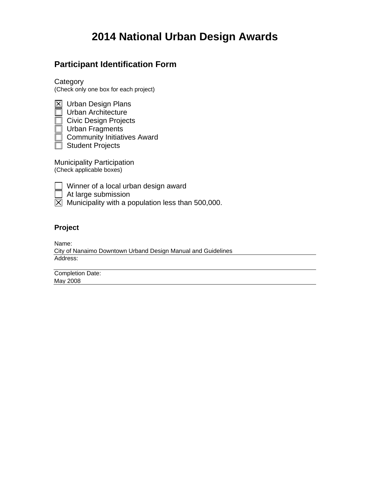# **2014 National Urban Design Awards**

# **Participant Identification Form**

**Category** (Check only one box for each project)

 $\boxtimes$  Urban Design Plans Urban Architecture Civic Design Projects Urban Fragments **Community Initiatives Award**  $\overline{\Box}$  Student Projects

Municipality Participation (Check applicable boxes)

| ٦<br>í |  |
|--------|--|

Winner of a local urban design award

At large submission

 $\overline{X}$  Municipality with a population less than 500,000.

## **Project**

Name: Address: City of Nanaimo Downtown Urband Design Manual and Guidelines

Completion Date: May 2008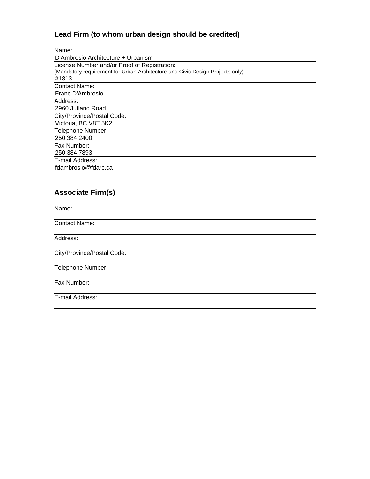# **Lead Firm (to whom urban design should be credited)**

| Name:                                                                         |
|-------------------------------------------------------------------------------|
| D'Ambrosio Architecture + Urbanism                                            |
| License Number and/or Proof of Registration:                                  |
| (Mandatory requirement for Urban Architecture and Civic Design Projects only) |
| #1813                                                                         |
| <b>Contact Name:</b>                                                          |
| Franc D'Ambrosio                                                              |
| Address:                                                                      |
| 2960 Jutland Road                                                             |
| City/Province/Postal Code:                                                    |
| Victoria, BC V8T 5K2                                                          |
| Telephone Number:                                                             |
| 250.384.2400                                                                  |
| Fax Number:                                                                   |
| 250.384.7893                                                                  |
| E-mail Address:                                                               |
| fdambrosio@fdarc.ca                                                           |

# **Associate Firm(s)**

Name:

Contact Name:

Address:

City/Province/Postal Code:

Telephone Number:

Fax Number:

E-mail Address: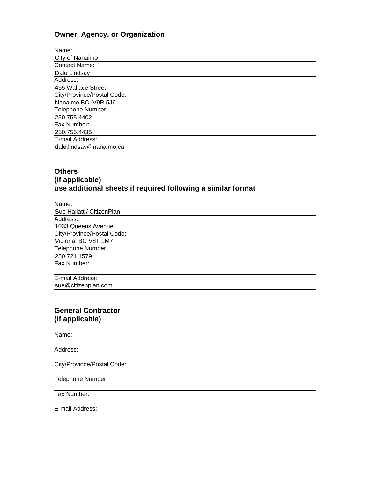## **Owner, Agency, or Organization**

| Name:                      |
|----------------------------|
| City of Nanaimo            |
| <b>Contact Name:</b>       |
| Dale Lindsav               |
| Address:                   |
| 455 Wallace Street         |
| City/Province/Postal Code: |
| Nanaimo BC, V9R 5J6        |
| Telephone Number:          |
| 250.755.4402               |
| Fax Number:                |
| 250.755.4435               |
| E-mail Address:            |
| dale.lindsay@nanaimo.ca    |

#### **Others (if applicable) use additional sheets if required following a similar format**

| Name:                                                        |  |
|--------------------------------------------------------------|--|
| Sue Hallatt / CitizenPlan                                    |  |
| Address:                                                     |  |
| 1033 Queens Avenue                                           |  |
| City/Province/Postal Code:                                   |  |
| Victoria, BC V8T 1M7                                         |  |
| Telephone Number:                                            |  |
| 250.721.1579                                                 |  |
| Fax Number:                                                  |  |
|                                                              |  |
| $\Gamma$ and $\Gamma$ and $\Gamma$ and $\Gamma$ and $\Gamma$ |  |

E-mail Address: sue@citizenplan.com

#### **General Contractor (if applicable)**

Name:

Address:

City/Province/Postal Code:

Telephone Number:

Fax Number:

E-mail Address: